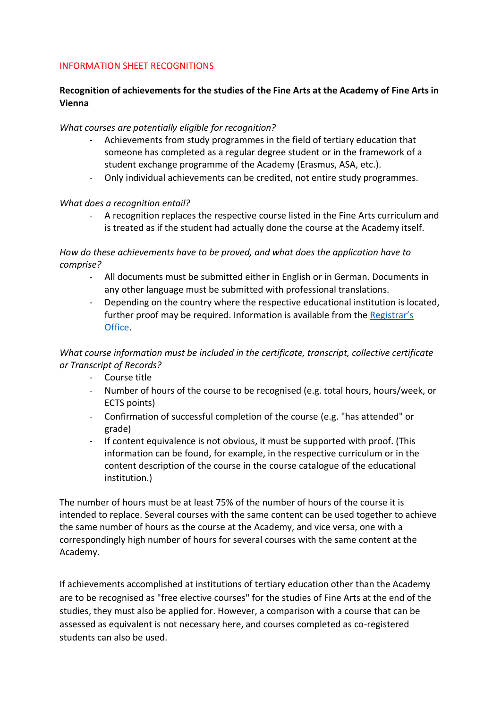## INFORMATION SHEET RECOGNITIONS

# **Recognition of achievements for the studies of the Fine Arts at the Academy of Fine Arts in Vienna**

## *What courses are potentially eligible for recognition?*

- Achievements from study programmes in the field of tertiary education that someone has completed as a regular degree student or in the framework of a student exchange programme of the Academy (Erasmus, ASA, etc.).
- Only individual achievements can be credited, not entire study programmes.

#### *What does a recognition entail?*

A recognition replaces the respective course listed in the Fine Arts curriculum and is treated as if the student had actually done the course at the Academy itself.

*How do these achievements have to be proved, and what does the application have to comprise?* 

- All documents must be submitted either in English or in German. Documents in any other language must be submitted with professional translations.
- Depending on the country where the respective educational institution is located, further proof may be required. Information is available from the [Registrar](mailto:studienabteilung@akbild.ac.at)'s [Office.](mailto:studienabteilung@akbild.ac.at)

# *What course information must be included in the certificate, transcript, collective certificate or Transcript of Records?*

- Course title
- Number of hours of the course to be recognised (e.g. total hours, hours/week, or ECTS points)
- Confirmation of successful completion of the course (e.g. "has attended" or grade)
- If content equivalence is not obvious, it must be supported with proof. (This information can be found, for example, in the respective curriculum or in the content description of the course in the course catalogue of the educational institution.)

The number of hours must be at least 75% of the number of hours of the course it is intended to replace. Several courses with the same content can be used together to achieve the same number of hours as the course at the Academy, and vice versa, one with a correspondingly high number of hours for several courses with the same content at the Academy.

If achievements accomplished at institutions of tertiary education other than the Academy are to be recognised as "free elective courses" for the studies of Fine Arts at the end of the studies, they must also be applied for. However, a comparison with a course that can be assessed as equivalent is not necessary here, and courses completed as co-registered students can also be used.